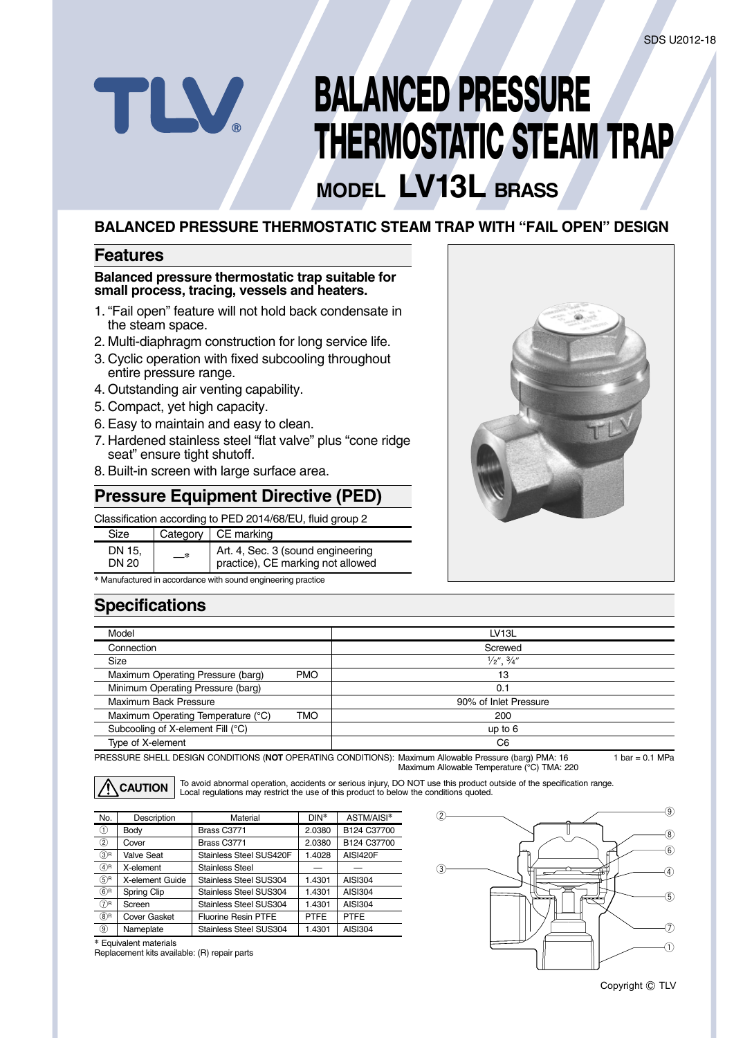# **BALANCED PRESSURE THERMOSTATIC STEAM TRAP**

# **MODEL LV13L BRASS**

#### **BALANCED PRESSURE THERMOSTATIC STEAM TRAP WITH "FAIL OPEN" DESIGN**

#### **Features**

TLV

#### **Balanced pressure thermostatic trap suitable for small process, tracing, vessels and heaters.**

- 1. "Fail open" feature will not hold back condensate in the steam space.
- 2. Multi-diaphragm construction for long service life.
- 3. Cyclic operation with fixed subcooling throughout entire pressure range.
- 4. Outstanding air venting capability.
- 5. Compact, yet high capacity.
- 6. Easy to maintain and easy to clean.
- 7. Hardened stainless steel "flat valve" plus "cone ridge seat" ensure tight shutoff.
- 8. Built-in screen with large surface area.

#### **Pressure Equipment Directive (PED)**

Classification according to PED 2014/68/EU, fluid group 2

| Size            |    | Category $\vert$ CE marking                                            |
|-----------------|----|------------------------------------------------------------------------|
| DN 15.<br>DN 20 | —* | Art. 4, Sec. 3 (sound engineering<br>practice), CE marking not allowed |

**\*** Manufactured in accordance with sound engineering practice

### **Specifications**

| Model                              |            | LV <sub>13</sub> L               |
|------------------------------------|------------|----------------------------------|
| Connection                         |            | Screwed                          |
| Size                               |            | $\frac{1}{2}$ ", $\frac{3}{4}$ " |
| Maximum Operating Pressure (barg)  | <b>PMO</b> | 13                               |
| Minimum Operating Pressure (barg)  |            | 0.1                              |
| Maximum Back Pressure              |            | 90% of Inlet Pressure            |
| Maximum Operating Temperature (°C) | TMO        | 200                              |
| Subcooling of X-element Fill (°C)  |            | up to $6$                        |
| Type of X-element                  |            | C6                               |

PRESSURE SHELL DESIGN CONDITIONS (**NOT** OPERATING CONDITIONS): Maximum Allowable Pressure (barg) PMA: 16 Maximum Allowable Temperature (°C) TMA: 220

**CAUTION**

To avoid abnormal operation, accidents or serious injury, DO NOT use this product outside of the specification range. Local regulations may restrict the use of this product to below the conditions quoted.

| No.            | Description         | Material                      | $DIN^*$     | ASTM/AISI*      |
|----------------|---------------------|-------------------------------|-------------|-----------------|
| $^{\circ}$     | Body                | Brass C3771                   | 2.0380      | B124 C37700     |
| $^{\circledR}$ | Cover               | Brass C3771                   | 2.0380      | B124 C37700     |
| $(3)$ R        | <b>Valve Seat</b>   | Stainless Steel SUS420F       | 1.4028      | <b>AISI420F</b> |
| $(4)$ R        | X-element           | Stainless Steel               |             |                 |
| $(5)$ R        | X-element Guide     | Stainless Steel SUS304        | 1.4301      | AISI304         |
| $(6)$ R        | Spring Clip         | Stainless Steel SUS304        | 1.4301      | <b>AISI304</b>  |
| $(7)$ R        | Screen              | Stainless Steel SUS304        | 1.4301      | <b>AISI304</b>  |
| $(8)$ R        | <b>Cover Gasket</b> | <b>Fluorine Resin PTFE</b>    | <b>PTFE</b> | <b>PTFE</b>     |
| 9)             | Nameplate           | <b>Stainless Steel SUS304</b> | 1.4301      | <b>AISI304</b>  |

**\*** Equivalent materials Replacement kits available: (R) repair parts





1 bar =  $0.1$  MPa